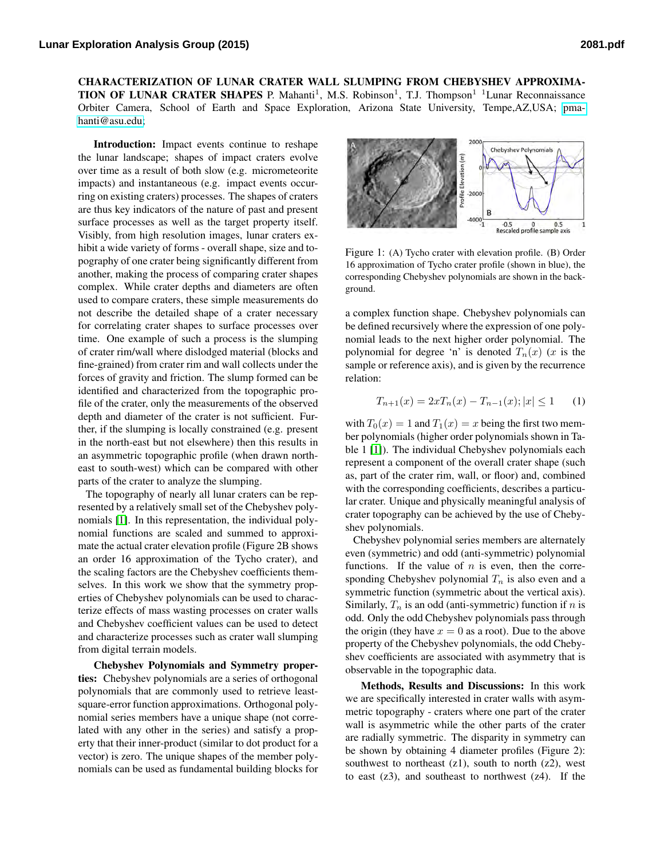CHARACTERIZATION OF LUNAR CRATER WALL SLUMPING FROM CHEBYSHEV APPROXIMA-TION OF LUNAR CRATER SHAPES P. Mahanti<sup>1</sup>, M.S. Robinson<sup>1</sup>, T.J. Thompson<sup>1</sup> <sup>1</sup>Lunar Reconnaissance Orbiter Camera, School of Earth and Space Exploration, Arizona State University, Tempe,AZ,USA; [pma](mailto:pmahanti@asu.edu)[hanti@asu.edu;](mailto:pmahanti@asu.edu)

Introduction: Impact events continue to reshape the lunar landscape; shapes of impact craters evolve over time as a result of both slow (e.g. micrometeorite impacts) and instantaneous (e.g. impact events occurring on existing craters) processes. The shapes of craters are thus key indicators of the nature of past and present surface processes as well as the target property itself. Visibly, from high resolution images, lunar craters exhibit a wide variety of forms - overall shape, size and topography of one crater being significantly different from another, making the process of comparing crater shapes complex. While crater depths and diameters are often used to compare craters, these simple measurements do not describe the detailed shape of a crater necessary for correlating crater shapes to surface processes over time. One example of such a process is the slumping of crater rim/wall where dislodged material (blocks and fine-grained) from crater rim and wall collects under the forces of gravity and friction. The slump formed can be identified and characterized from the topographic profile of the crater, only the measurements of the observed depth and diameter of the crater is not sufficient. Further, if the slumping is locally constrained (e.g. present in the north-east but not elsewhere) then this results in an asymmetric topographic profile (when drawn northeast to south-west) which can be compared with other parts of the crater to analyze the slumping.

The topography of nearly all lunar craters can be represented by a relatively small set of the Chebyshev polynomials [\[1\]](#page-1-0). In this representation, the individual polynomial functions are scaled and summed to approximate the actual crater elevation profile (Figure 2B shows an order 16 approximation of the Tycho crater), and the scaling factors are the Chebyshev coefficients themselves. In this work we show that the symmetry properties of Chebyshev polynomials can be used to characterize effects of mass wasting processes on crater walls and Chebyshev coefficient values can be used to detect and characterize processes such as crater wall slumping from digital terrain models.

Chebyshev Polynomials and Symmetry properties: Chebyshev polynomials are a series of orthogonal polynomials that are commonly used to retrieve leastsquare-error function approximations. Orthogonal polynomial series members have a unique shape (not correlated with any other in the series) and satisfy a property that their inner-product (similar to dot product for a vector) is zero. The unique shapes of the member polynomials can be used as fundamental building blocks for



Figure 1: (A) Tycho crater with elevation profile. (B) Order 16 approximation of Tycho crater profile (shown in blue), the corresponding Chebyshev polynomials are shown in the background.

a complex function shape. Chebyshev polynomials can be defined recursively where the expression of one polynomial leads to the next higher order polynomial. The polynomial for degree 'n' is denoted  $T_n(x)$  (x is the sample or reference axis), and is given by the recurrence relation:

$$
T_{n+1}(x) = 2xT_n(x) - T_{n-1}(x); |x| \le 1 \qquad (1)
$$

with  $T_0(x) = 1$  and  $T_1(x) = x$  being the first two member polynomials (higher order polynomials shown in Table 1 [\[1\]](#page-1-0)). The individual Chebyshev polynomials each represent a component of the overall crater shape (such as, part of the crater rim, wall, or floor) and, combined with the corresponding coefficients, describes a particular crater. Unique and physically meaningful analysis of crater topography can be achieved by the use of Chebyshev polynomials.

Chebyshev polynomial series members are alternately even (symmetric) and odd (anti-symmetric) polynomial functions. If the value of  $n$  is even, then the corresponding Chebyshev polynomial  $T_n$  is also even and a symmetric function (symmetric about the vertical axis). Similarly,  $T_n$  is an odd (anti-symmetric) function if n is odd. Only the odd Chebyshev polynomials pass through the origin (they have  $x = 0$  as a root). Due to the above property of the Chebyshev polynomials, the odd Chebyshev coefficients are associated with asymmetry that is observable in the topographic data.

Methods, Results and Discussions: In this work we are specifically interested in crater walls with asymmetric topography - craters where one part of the crater wall is asymmetric while the other parts of the crater are radially symmetric. The disparity in symmetry can be shown by obtaining 4 diameter profiles (Figure 2): southwest to northeast  $(z1)$ , south to north  $(z2)$ , west to east  $(z3)$ , and southeast to northwest  $(z4)$ . If the